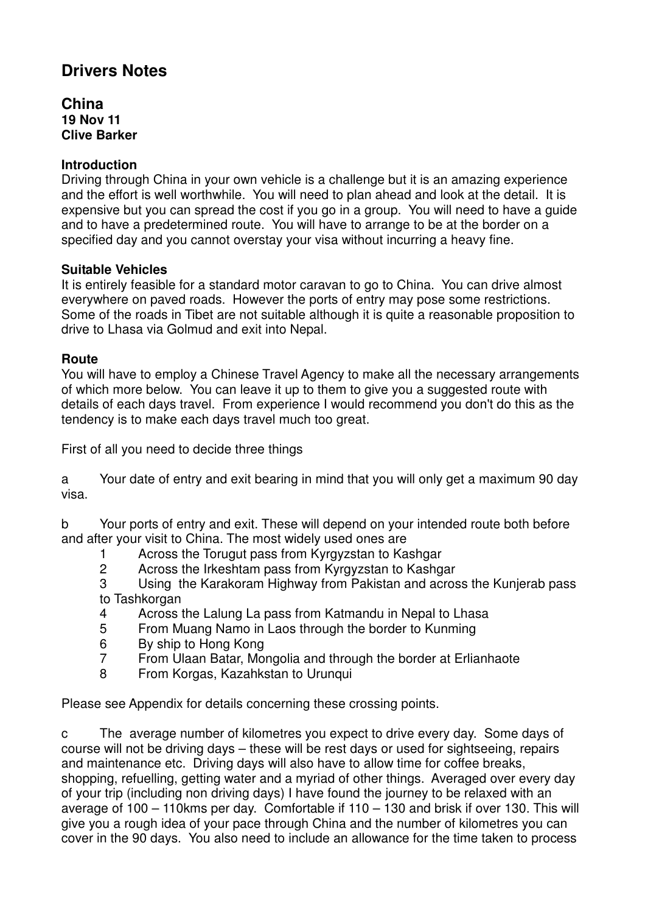# **Drivers Notes**

**China 19 Nov 11 Clive Barker** 

# **Introduction**

Driving through China in your own vehicle is a challenge but it is an amazing experience and the effort is well worthwhile. You will need to plan ahead and look at the detail. It is expensive but you can spread the cost if you go in a group. You will need to have a guide and to have a predetermined route. You will have to arrange to be at the border on a specified day and you cannot overstay your visa without incurring a heavy fine.

## **Suitable Vehicles**

It is entirely feasible for a standard motor caravan to go to China. You can drive almost everywhere on paved roads. However the ports of entry may pose some restrictions. Some of the roads in Tibet are not suitable although it is quite a reasonable proposition to drive to Lhasa via Golmud and exit into Nepal.

## **Route**

You will have to employ a Chinese Travel Agency to make all the necessary arrangements of which more below. You can leave it up to them to give you a suggested route with details of each days travel. From experience I would recommend you don't do this as the tendency is to make each days travel much too great.

First of all you need to decide three things

a Your date of entry and exit bearing in mind that you will only get a maximum 90 day visa.

b Your ports of entry and exit. These will depend on your intended route both before and after your visit to China. The most widely used ones are

- 1 Across the Torugut pass from Kyrgyzstan to Kashgar<br>2 Across the Irkeshtam pass from Kyrgyzstan to Kashg
- Across the Irkeshtam pass from Kyrgyzstan to Kashgar

3 Using the Karakoram Highway from Pakistan and across the Kunjerab pass to Tashkorgan

- 4 Across the Lalung La pass from Katmandu in Nepal to Lhasa
- 5 From Muang Namo in Laos through the border to Kunming
- 6 By ship to Hong Kong
- 7 From Ulaan Batar, Mongolia and through the border at Erlianhaote
- 8 From Korgas, Kazahkstan to Urunqui

Please see Appendix for details concerning these crossing points.

c The average number of kilometres you expect to drive every day. Some days of course will not be driving days – these will be rest days or used for sightseeing, repairs and maintenance etc. Driving days will also have to allow time for coffee breaks, shopping, refuelling, getting water and a myriad of other things. Averaged over every day of your trip (including non driving days) I have found the journey to be relaxed with an average of 100 – 110kms per day. Comfortable if 110 – 130 and brisk if over 130. This will give you a rough idea of your pace through China and the number of kilometres you can cover in the 90 days. You also need to include an allowance for the time taken to process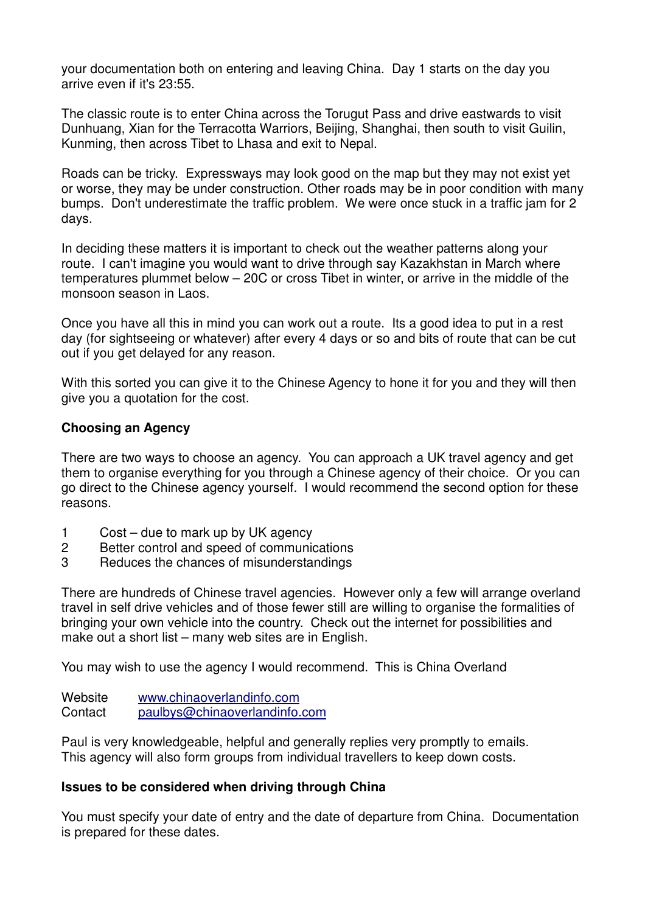your documentation both on entering and leaving China. Day 1 starts on the day you arrive even if it's 23:55.

The classic route is to enter China across the Torugut Pass and drive eastwards to visit Dunhuang, Xian for the Terracotta Warriors, Beijing, Shanghai, then south to visit Guilin, Kunming, then across Tibet to Lhasa and exit to Nepal.

Roads can be tricky. Expressways may look good on the map but they may not exist yet or worse, they may be under construction. Other roads may be in poor condition with many bumps. Don't underestimate the traffic problem. We were once stuck in a traffic jam for 2 days.

In deciding these matters it is important to check out the weather patterns along your route. I can't imagine you would want to drive through say Kazakhstan in March where temperatures plummet below – 20C or cross Tibet in winter, or arrive in the middle of the monsoon season in Laos.

Once you have all this in mind you can work out a route. Its a good idea to put in a rest day (for sightseeing or whatever) after every 4 days or so and bits of route that can be cut out if you get delayed for any reason.

With this sorted you can give it to the Chinese Agency to hone it for you and they will then give you a quotation for the cost.

# **Choosing an Agency**

There are two ways to choose an agency. You can approach a UK travel agency and get them to organise everything for you through a Chinese agency of their choice. Or you can go direct to the Chinese agency yourself. I would recommend the second option for these reasons.

- 1 Cost due to mark up by UK agency
- 2 Better control and speed of communications
- 3 Reduces the chances of misunderstandings

There are hundreds of Chinese travel agencies. However only a few will arrange overland travel in self drive vehicles and of those fewer still are willing to organise the formalities of bringing your own vehicle into the country. Check out the internet for possibilities and make out a short list – many web sites are in English.

You may wish to use the agency I would recommend. This is China Overland

Website www.chinaoverlandinfo.com Contact paulbys@chinaoverlandinfo.com

Paul is very knowledgeable, helpful and generally replies very promptly to emails. This agency will also form groups from individual travellers to keep down costs.

#### **Issues to be considered when driving through China**

You must specify your date of entry and the date of departure from China. Documentation is prepared for these dates.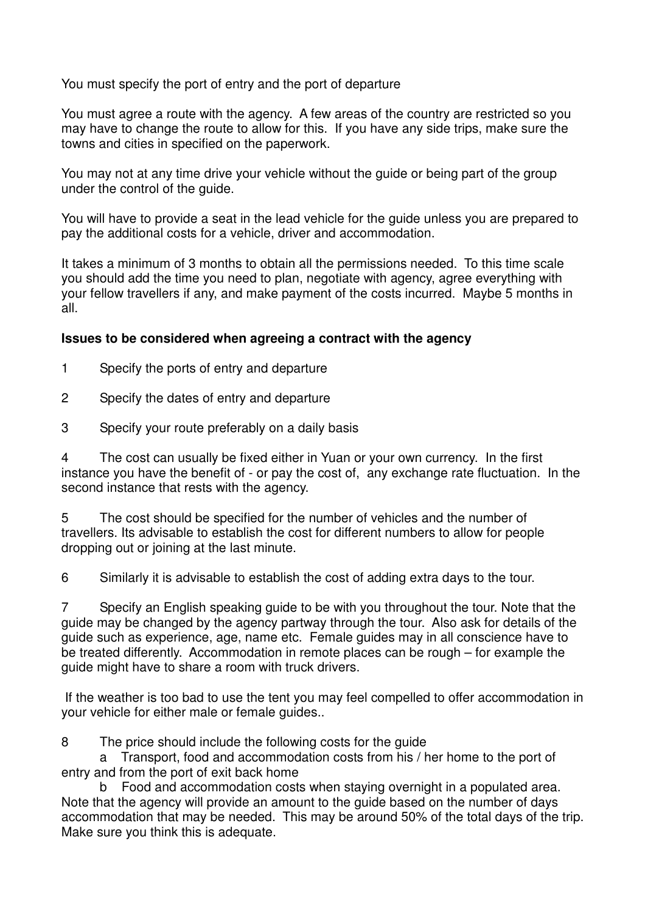You must specify the port of entry and the port of departure

You must agree a route with the agency. A few areas of the country are restricted so you may have to change the route to allow for this. If you have any side trips, make sure the towns and cities in specified on the paperwork.

You may not at any time drive your vehicle without the guide or being part of the group under the control of the guide.

You will have to provide a seat in the lead vehicle for the guide unless you are prepared to pay the additional costs for a vehicle, driver and accommodation.

It takes a minimum of 3 months to obtain all the permissions needed. To this time scale you should add the time you need to plan, negotiate with agency, agree everything with your fellow travellers if any, and make payment of the costs incurred. Maybe 5 months in all.

## **Issues to be considered when agreeing a contract with the agency**

- 1 Specify the ports of entry and departure
- 2 Specify the dates of entry and departure
- 3 Specify your route preferably on a daily basis

4 The cost can usually be fixed either in Yuan or your own currency. In the first instance you have the benefit of - or pay the cost of, any exchange rate fluctuation. In the second instance that rests with the agency.

5 The cost should be specified for the number of vehicles and the number of travellers. Its advisable to establish the cost for different numbers to allow for people dropping out or joining at the last minute.

6 Similarly it is advisable to establish the cost of adding extra days to the tour.

7 Specify an English speaking guide to be with you throughout the tour. Note that the guide may be changed by the agency partway through the tour. Also ask for details of the guide such as experience, age, name etc. Female guides may in all conscience have to be treated differently. Accommodation in remote places can be rough – for example the guide might have to share a room with truck drivers.

 If the weather is too bad to use the tent you may feel compelled to offer accommodation in your vehicle for either male or female guides..

8 The price should include the following costs for the guide

 a Transport, food and accommodation costs from his / her home to the port of entry and from the port of exit back home

 b Food and accommodation costs when staying overnight in a populated area. Note that the agency will provide an amount to the guide based on the number of days accommodation that may be needed. This may be around 50% of the total days of the trip. Make sure you think this is adequate.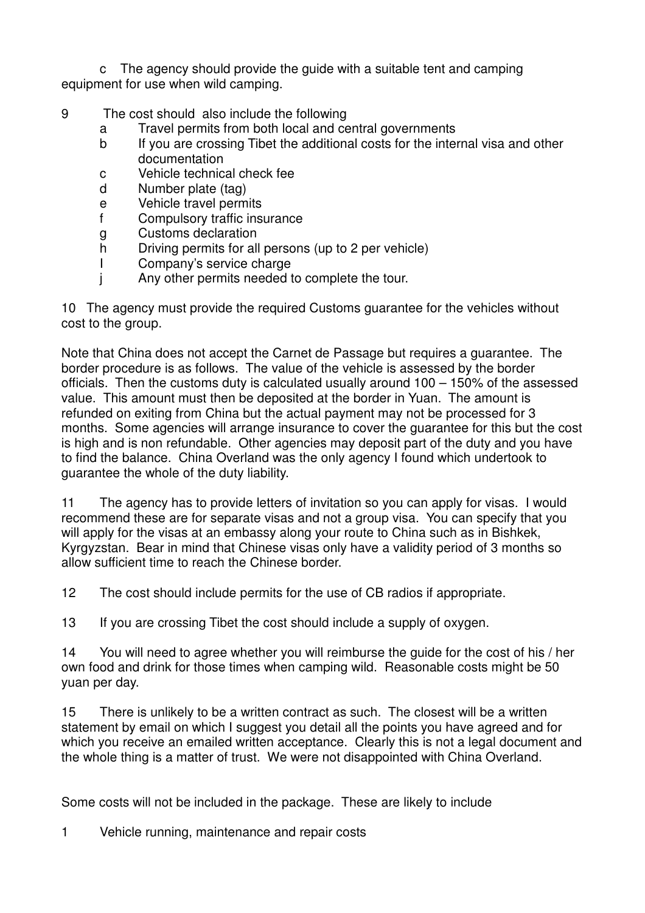c The agency should provide the guide with a suitable tent and camping equipment for use when wild camping.

# 9 The cost should also include the following

- a Travel permits from both local and central governments
- b If you are crossing Tibet the additional costs for the internal visa and other documentation
- c Vehicle technical check fee
- d Number plate (tag)
- e Vehicle travel permits
- f Compulsory traffic insurance
- g Customs declaration
- h Driving permits for all persons (up to 2 per vehicle)
- I Company's service charge
- j Any other permits needed to complete the tour.

10 The agency must provide the required Customs guarantee for the vehicles without cost to the group.

Note that China does not accept the Carnet de Passage but requires a guarantee. The border procedure is as follows. The value of the vehicle is assessed by the border officials. Then the customs duty is calculated usually around 100 – 150% of the assessed value. This amount must then be deposited at the border in Yuan. The amount is refunded on exiting from China but the actual payment may not be processed for 3 months. Some agencies will arrange insurance to cover the guarantee for this but the cost is high and is non refundable. Other agencies may deposit part of the duty and you have to find the balance. China Overland was the only agency I found which undertook to guarantee the whole of the duty liability.

11 The agency has to provide letters of invitation so you can apply for visas. I would recommend these are for separate visas and not a group visa. You can specify that you will apply for the visas at an embassy along your route to China such as in Bishkek, Kyrgyzstan. Bear in mind that Chinese visas only have a validity period of 3 months so allow sufficient time to reach the Chinese border.

12 The cost should include permits for the use of CB radios if appropriate.

13 If you are crossing Tibet the cost should include a supply of oxygen.

14 You will need to agree whether you will reimburse the guide for the cost of his / her own food and drink for those times when camping wild. Reasonable costs might be 50 yuan per day.

15 There is unlikely to be a written contract as such. The closest will be a written statement by email on which I suggest you detail all the points you have agreed and for which you receive an emailed written acceptance. Clearly this is not a legal document and the whole thing is a matter of trust. We were not disappointed with China Overland.

Some costs will not be included in the package. These are likely to include

1 Vehicle running, maintenance and repair costs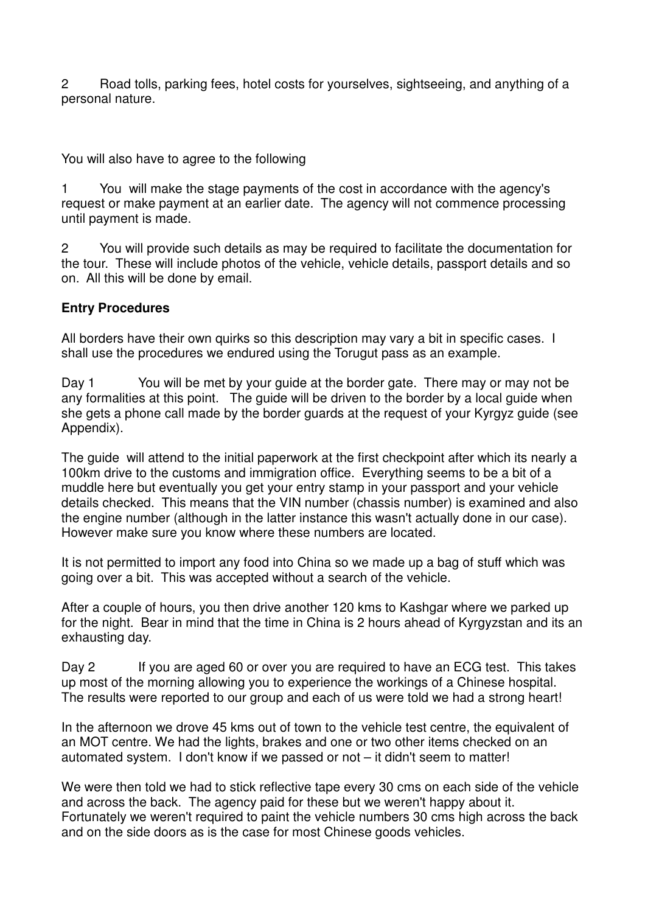2 Road tolls, parking fees, hotel costs for yourselves, sightseeing, and anything of a personal nature.

You will also have to agree to the following

1 You will make the stage payments of the cost in accordance with the agency's request or make payment at an earlier date. The agency will not commence processing until payment is made.

2 You will provide such details as may be required to facilitate the documentation for the tour. These will include photos of the vehicle, vehicle details, passport details and so on. All this will be done by email.

## **Entry Procedures**

All borders have their own quirks so this description may vary a bit in specific cases. I shall use the procedures we endured using the Torugut pass as an example.

Day 1 You will be met by your guide at the border gate. There may or may not be any formalities at this point. The guide will be driven to the border by a local guide when she gets a phone call made by the border guards at the request of your Kyrgyz guide (see Appendix).

The guide will attend to the initial paperwork at the first checkpoint after which its nearly a 100km drive to the customs and immigration office. Everything seems to be a bit of a muddle here but eventually you get your entry stamp in your passport and your vehicle details checked. This means that the VIN number (chassis number) is examined and also the engine number (although in the latter instance this wasn't actually done in our case). However make sure you know where these numbers are located.

It is not permitted to import any food into China so we made up a bag of stuff which was going over a bit. This was accepted without a search of the vehicle.

After a couple of hours, you then drive another 120 kms to Kashgar where we parked up for the night. Bear in mind that the time in China is 2 hours ahead of Kyrgyzstan and its an exhausting day.

Day 2 If you are aged 60 or over you are required to have an ECG test. This takes up most of the morning allowing you to experience the workings of a Chinese hospital. The results were reported to our group and each of us were told we had a strong heart!

In the afternoon we drove 45 kms out of town to the vehicle test centre, the equivalent of an MOT centre. We had the lights, brakes and one or two other items checked on an automated system. I don't know if we passed or not – it didn't seem to matter!

We were then told we had to stick reflective tape every 30 cms on each side of the vehicle and across the back. The agency paid for these but we weren't happy about it. Fortunately we weren't required to paint the vehicle numbers 30 cms high across the back and on the side doors as is the case for most Chinese goods vehicles.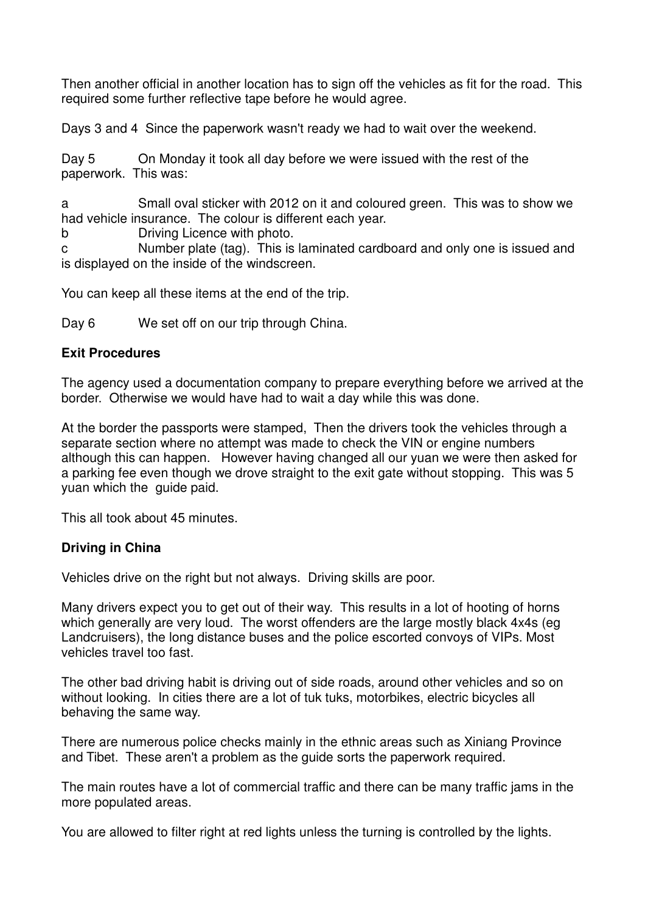Then another official in another location has to sign off the vehicles as fit for the road. This required some further reflective tape before he would agree.

Days 3 and 4 Since the paperwork wasn't ready we had to wait over the weekend.

Day 5 On Monday it took all day before we were issued with the rest of the paperwork. This was:

a Small oval sticker with 2012 on it and coloured green. This was to show we had vehicle insurance. The colour is different each year.

b Driving Licence with photo.

c Number plate (tag). This is laminated cardboard and only one is issued and is displayed on the inside of the windscreen.

You can keep all these items at the end of the trip.

Day 6 We set off on our trip through China.

## **Exit Procedures**

The agency used a documentation company to prepare everything before we arrived at the border. Otherwise we would have had to wait a day while this was done.

At the border the passports were stamped, Then the drivers took the vehicles through a separate section where no attempt was made to check the VIN or engine numbers although this can happen. However having changed all our yuan we were then asked for a parking fee even though we drove straight to the exit gate without stopping. This was 5 yuan which the guide paid.

This all took about 45 minutes.

# **Driving in China**

Vehicles drive on the right but not always. Driving skills are poor.

Many drivers expect you to get out of their way. This results in a lot of hooting of horns which generally are very loud. The worst offenders are the large mostly black 4x4s (eg Landcruisers), the long distance buses and the police escorted convoys of VIPs. Most vehicles travel too fast.

The other bad driving habit is driving out of side roads, around other vehicles and so on without looking. In cities there are a lot of tuk tuks, motorbikes, electric bicycles all behaving the same way.

There are numerous police checks mainly in the ethnic areas such as Xiniang Province and Tibet. These aren't a problem as the guide sorts the paperwork required.

The main routes have a lot of commercial traffic and there can be many traffic jams in the more populated areas.

You are allowed to filter right at red lights unless the turning is controlled by the lights.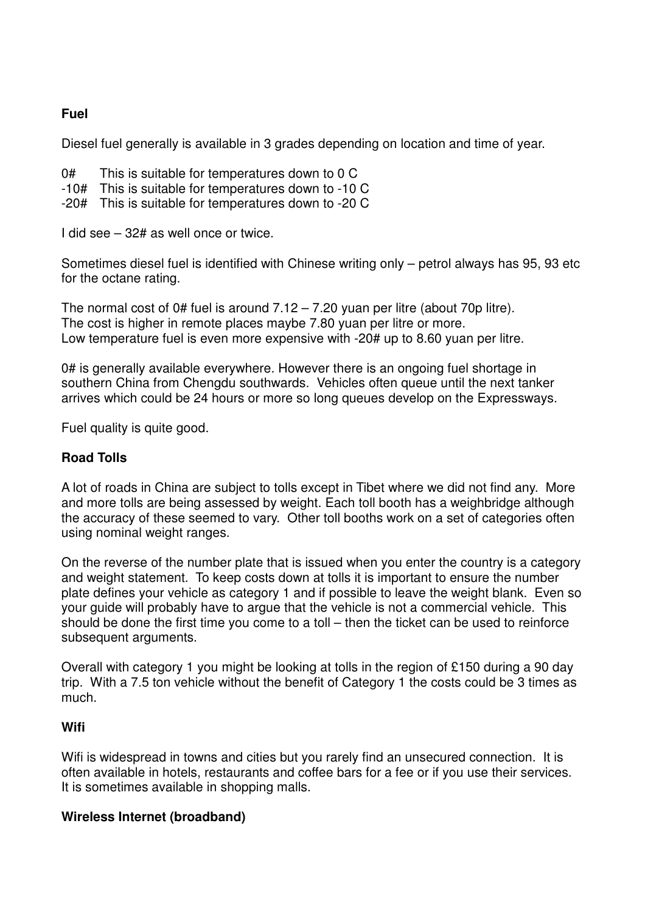# **Fuel**

Diesel fuel generally is available in 3 grades depending on location and time of year.

- 0# This is suitable for temperatures down to 0 C
- -10# This is suitable for temperatures down to -10 C
- -20# This is suitable for temperatures down to -20 C

I did see – 32# as well once or twice.

Sometimes diesel fuel is identified with Chinese writing only – petrol always has 95, 93 etc for the octane rating.

The normal cost of 0# fuel is around  $7.12 - 7.20$  yuan per litre (about 70p litre). The cost is higher in remote places maybe 7.80 yuan per litre or more. Low temperature fuel is even more expensive with -20# up to 8.60 yuan per litre.

0# is generally available everywhere. However there is an ongoing fuel shortage in southern China from Chengdu southwards. Vehicles often queue until the next tanker arrives which could be 24 hours or more so long queues develop on the Expressways.

Fuel quality is quite good.

#### **Road Tolls**

A lot of roads in China are subject to tolls except in Tibet where we did not find any. More and more tolls are being assessed by weight. Each toll booth has a weighbridge although the accuracy of these seemed to vary. Other toll booths work on a set of categories often using nominal weight ranges.

On the reverse of the number plate that is issued when you enter the country is a category and weight statement. To keep costs down at tolls it is important to ensure the number plate defines your vehicle as category 1 and if possible to leave the weight blank. Even so your guide will probably have to argue that the vehicle is not a commercial vehicle. This should be done the first time you come to a toll – then the ticket can be used to reinforce subsequent arguments.

Overall with category 1 you might be looking at tolls in the region of £150 during a 90 day trip. With a 7.5 ton vehicle without the benefit of Category 1 the costs could be 3 times as much.

#### **Wifi**

Wifi is widespread in towns and cities but you rarely find an unsecured connection. It is often available in hotels, restaurants and coffee bars for a fee or if you use their services. It is sometimes available in shopping malls.

#### **Wireless Internet (broadband)**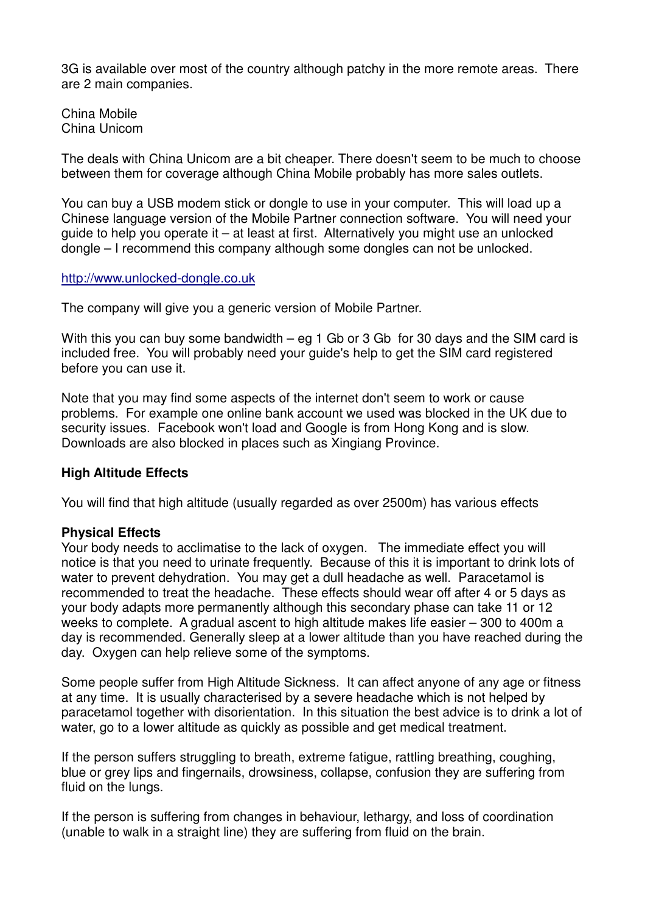3G is available over most of the country although patchy in the more remote areas. There are 2 main companies.

China Mobile China Unicom

The deals with China Unicom are a bit cheaper. There doesn't seem to be much to choose between them for coverage although China Mobile probably has more sales outlets.

You can buy a USB modem stick or dongle to use in your computer. This will load up a Chinese language version of the Mobile Partner connection software. You will need your guide to help you operate it – at least at first. Alternatively you might use an unlocked dongle – I recommend this company although some dongles can not be unlocked.

#### http://www.unlocked-dongle.co.uk

The company will give you a generic version of Mobile Partner.

With this you can buy some bandwidth – eg 1 Gb or 3 Gb for 30 days and the SIM card is included free. You will probably need your guide's help to get the SIM card registered before you can use it.

Note that you may find some aspects of the internet don't seem to work or cause problems. For example one online bank account we used was blocked in the UK due to security issues. Facebook won't load and Google is from Hong Kong and is slow. Downloads are also blocked in places such as Xingiang Province.

#### **High Altitude Effects**

You will find that high altitude (usually regarded as over 2500m) has various effects

#### **Physical Effects**

Your body needs to acclimatise to the lack of oxygen. The immediate effect you will notice is that you need to urinate frequently. Because of this it is important to drink lots of water to prevent dehydration. You may get a dull headache as well. Paracetamol is recommended to treat the headache. These effects should wear off after 4 or 5 days as your body adapts more permanently although this secondary phase can take 11 or 12 weeks to complete. A gradual ascent to high altitude makes life easier – 300 to 400m a day is recommended. Generally sleep at a lower altitude than you have reached during the day. Oxygen can help relieve some of the symptoms.

Some people suffer from High Altitude Sickness. It can affect anyone of any age or fitness at any time. It is usually characterised by a severe headache which is not helped by paracetamol together with disorientation. In this situation the best advice is to drink a lot of water, go to a lower altitude as quickly as possible and get medical treatment.

If the person suffers struggling to breath, extreme fatigue, rattling breathing, coughing, blue or grey lips and fingernails, drowsiness, collapse, confusion they are suffering from fluid on the lungs.

If the person is suffering from changes in behaviour, lethargy, and loss of coordination (unable to walk in a straight line) they are suffering from fluid on the brain.